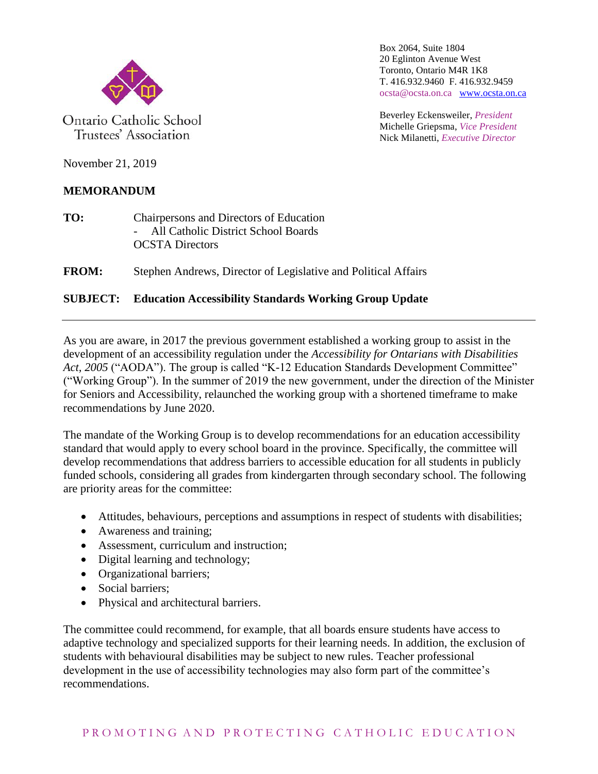

Ontario Catholic School Trustees' Association

Box 2064, Suite 1804 20 Eglinton Avenue West Toronto, Ontario M4R 1K8 T. 416.932.9460 F. 416.932.9459 ocsta@ocsta.on.ca [www.ocsta.on.ca](http://www.ocsta.on.ca/)

Beverley Eckensweiler, *President* Michelle Griepsma, *Vice President* Nick Milanetti, *Executive Director*

November 21, 2019

## **MEMORANDUM**

**TO:** Chairpersons and Directors of Education All Catholic District School Boards OCSTA Directors

**FROM:** Stephen Andrews, Director of Legislative and Political Affairs

## **SUBJECT: Education Accessibility Standards Working Group Update**

As you are aware, in 2017 the previous government established a working group to assist in the development of an accessibility regulation under the *Accessibility for Ontarians with Disabilities Act, 2005* ("AODA"). The group is called "K-12 Education Standards Development Committee" ("Working Group"). In the summer of 2019 the new government, under the direction of the Minister for Seniors and Accessibility, relaunched the working group with a shortened timeframe to make recommendations by June 2020.

The mandate of the Working Group is to develop recommendations for an education accessibility standard that would apply to every school board in the province. Specifically, the committee will develop recommendations that address barriers to accessible education for all students in publicly funded schools, considering all grades from kindergarten through secondary school. The following are priority areas for the committee:

- Attitudes, behaviours, perceptions and assumptions in respect of students with disabilities;
- Awareness and training;
- Assessment, curriculum and instruction;
- Digital learning and technology;
- Organizational barriers;
- Social barriers:
- Physical and architectural barriers.

The committee could recommend, for example, that all boards ensure students have access to adaptive technology and specialized supports for their learning needs. In addition, the exclusion of students with behavioural disabilities may be subject to new rules. Teacher professional development in the use of accessibility technologies may also form part of the committee's recommendations.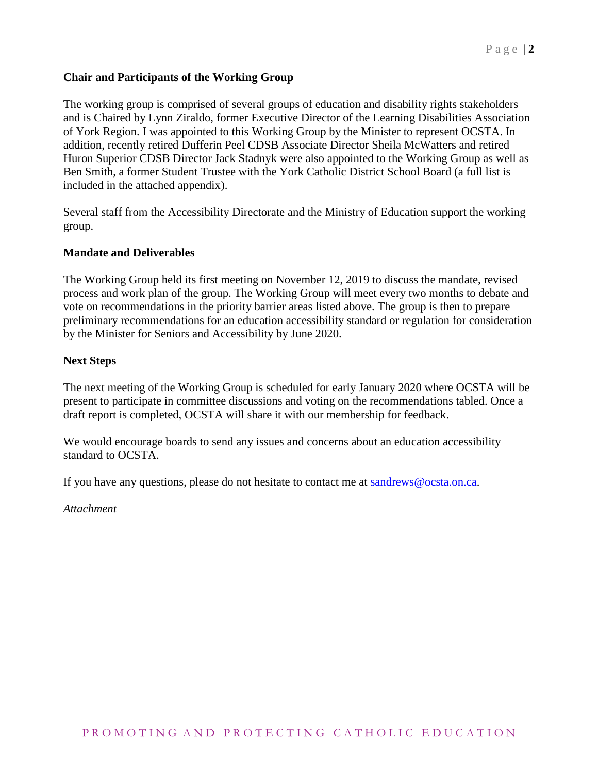### **Chair and Participants of the Working Group**

The working group is comprised of several groups of education and disability rights stakeholders and is Chaired by Lynn Ziraldo, former Executive Director of the Learning Disabilities Association of York Region. I was appointed to this Working Group by the Minister to represent OCSTA. In addition, recently retired Dufferin Peel CDSB Associate Director Sheila McWatters and retired Huron Superior CDSB Director Jack Stadnyk were also appointed to the Working Group as well as Ben Smith, a former Student Trustee with the York Catholic District School Board (a full list is included in the attached appendix).

Several staff from the Accessibility Directorate and the Ministry of Education support the working group.

#### **Mandate and Deliverables**

The Working Group held its first meeting on November 12, 2019 to discuss the mandate, revised process and work plan of the group. The Working Group will meet every two months to debate and vote on recommendations in the priority barrier areas listed above. The group is then to prepare preliminary recommendations for an education accessibility standard or regulation for consideration by the Minister for Seniors and Accessibility by June 2020.

#### **Next Steps**

The next meeting of the Working Group is scheduled for early January 2020 where OCSTA will be present to participate in committee discussions and voting on the recommendations tabled. Once a draft report is completed, OCSTA will share it with our membership for feedback.

We would encourage boards to send any issues and concerns about an education accessibility standard to OCSTA.

If you have any questions, please do not hesitate to contact me at sandrews@ocsta.on.ca.

*Attachment*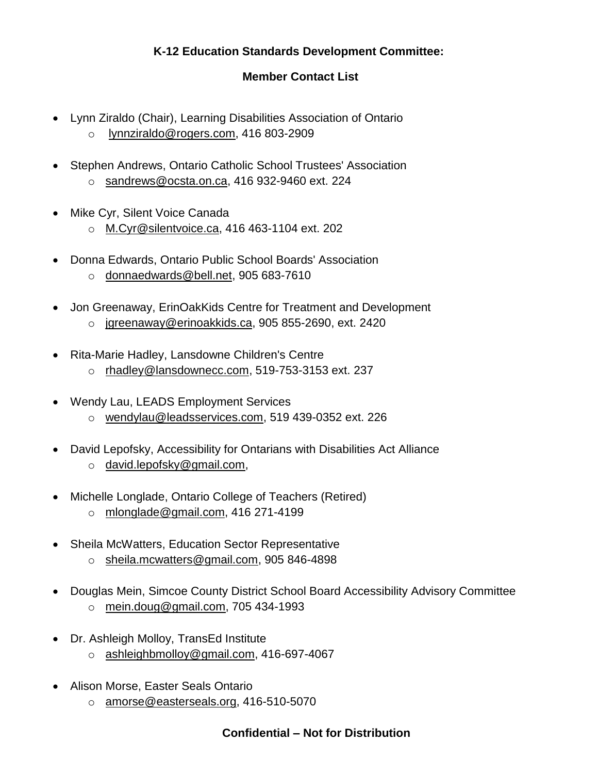# **K-12 Education Standards Development Committee:**

## **Member Contact List**

- Lynn Ziraldo (Chair), Learning Disabilities Association of Ontario
	- o [lynnziraldo@rogers.com,](mailto:lynnziraldo@rogers.com) 416 803-2909
- Stephen Andrews, Ontario Catholic School Trustees' Association o [sandrews@ocsta.on.ca,](mailto:sandrews@ocsta.on.ca) 416 932-9460 ext. 224
- Mike Cyr, Silent Voice Canada
	- o [M.Cyr@silentvoice.ca,](mailto:M.Cyr@silentvoice.ca) 416 463-1104 ext. 202
- Donna Edwards, Ontario Public School Boards' Association
	- o [donnaedwards@bell.net,](mailto:donnaedwards@bell.net) 905 683-7610
- Jon Greenaway, ErinOakKids Centre for Treatment and Development
	- o [jgreenaway@erinoakkids.ca,](mailto:jgreenaway@erinoakkids.ca) 905 855-2690, ext. 2420
- Rita-Marie Hadley, Lansdowne Children's Centre
	- o [rhadley@lansdownecc.com,](mailto:rhadley@lansdownecc.com) 519-753-3153 ext. 237
- Wendy Lau, LEADS Employment Services
	- o [wendylau@leadsservices.com,](mailto:wendylau@leadsservices.com) 519 439-0352 ext. 226
- David Lepofsky, Accessibility for Ontarians with Disabilities Act Alliance o [david.lepofsky@gmail.com,](mailto:david.lepofsky@gmail.com)
- Michelle Longlade, Ontario College of Teachers (Retired)
	- o [mlonglade@gmail.com,](mailto:mlonglade@gmail.com) 416 271-4199
- Sheila McWatters, Education Sector Representative
	- o [sheila.mcwatters@gmail.com,](mailto:sheila.mcwatters@gmail.com) 905 846-4898
- Douglas Mein, Simcoe County District School Board Accessibility Advisory Committee o [mein.doug@gmail.com,](mailto:mein.doug@gmail.com) 705 434-1993
- Dr. Ashleigh Molloy, TransEd Institute
	- o ashleighbmolloy@gmail.com, 416-697-4067
- Alison Morse, Easter Seals Ontario
	- o [amorse@easterseals.org,](mailto:amorse@easterseals.org) 416-510-5070

## **Confidential – Not for Distribution**